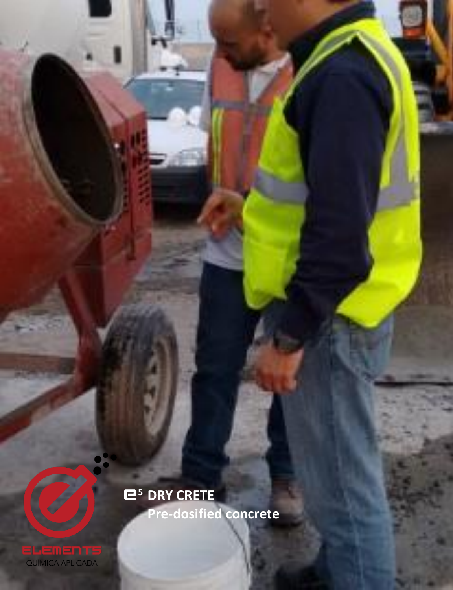**<sup>5</sup> DRY CRETE Pre-dosified concrete**

**<sup>5</sup>DRY CRETE**

ELEMENTS<br>QUÍMICA APLICADA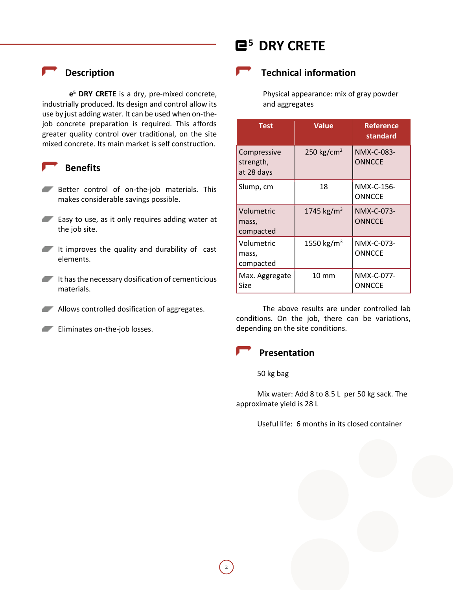## **Description**

**e <sup>5</sup> DRY CRETE** is a dry, pre-mixed concrete, industrially produced. Its design and control allow its use by just adding water. It can be used when on-thejob concrete preparation is required. This affords greater quality control over traditional, on the site mixed concrete. Its main market is self construction.

### **Benefits**

- Better control of on-the-job materials. This makes considerable savings possible.
- **Easy to use, as it only requires adding water at** the job site.
- It improves the quality and durability of cast elements.
- It has the necessary dosification of cementicious materials.
- **Allows controlled dosification of aggregates.**
- **Eliminates on-the-job losses.**

# **<sup>5</sup>DRY CRETE**

## **Technical information**

Physical appearance: mix of gray powder and aggregates

| <b>Test</b>                            | <b>Value</b>           | <b>Reference</b><br>standard |
|----------------------------------------|------------------------|------------------------------|
| Compressive<br>strength,<br>at 28 days | 250 kg/cm <sup>2</sup> | NMX-C-083-<br><b>ONNCCE</b>  |
| Slump, cm                              | 18                     | NMX-C-156-<br><b>ONNCCE</b>  |
| Volumetric<br>mass,<br>compacted       | 1745 kg/m <sup>3</sup> | NMX-C-073-<br><b>ONNCCE</b>  |
| Volumetric<br>mass,<br>compacted       | 1550 kg/m <sup>3</sup> | NMX-C-073-<br>ONNCCE         |
| Max. Aggregate<br>Size                 | $10 \text{ mm}$        | NMX-C-077-<br><b>ONNCCE</b>  |

The above results are under controlled lab conditions. On the job, there can be variations, depending on the site conditions.

## **Presentation**

### 50 kg bag

Mix water: Add 8 to 8.5 L per 50 kg sack. The approximate yield is 28 L

Useful life: 6 months in its closed container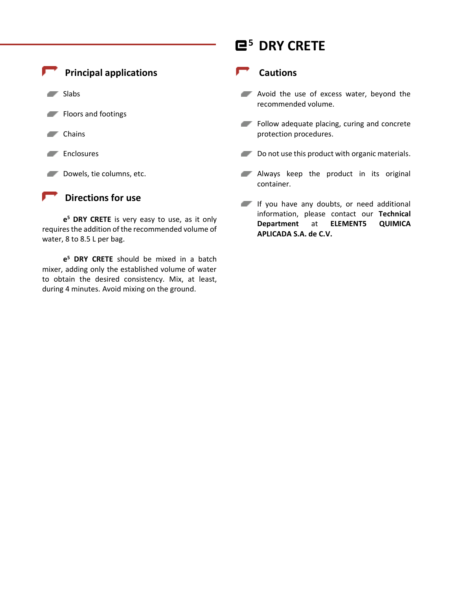

**e <sup>5</sup> DRY CRETE** is very easy to use, as it only requires the addition of the recommended volume of water, 8 to 8.5 L per bag.

**e <sup>5</sup> DRY CRETE** should be mixed in a batch mixer, adding only the established volume of water to obtain the desired consistency. Mix, at least, during 4 minutes. Avoid mixing on the ground.

# **<sup>5</sup>DRY CRETE**

### **Cautions**

- **Avoid the use of excess water, beyond the** recommended volume.
- Follow adequate placing, curing and concrete protection procedures.
- Do not use this product with organic materials.
- Always keep the product in its original container.
- If you have any doubts, or need additional information, please contact our **Technical Department** at **ELEMENT5 QUIMICA APLICADA S.A. de C.V.**